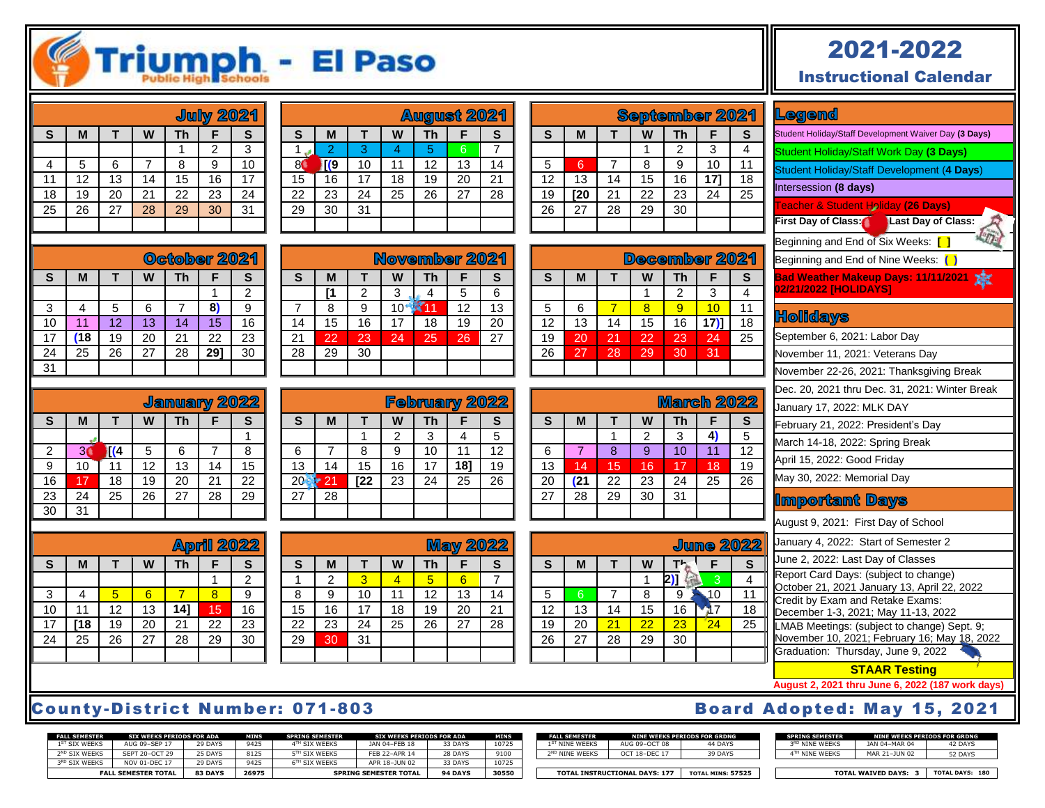

## 2021-2022

Instructional Calendar

| <b>July 2021</b> |    |              |    |    |    |    |  |  |  |  |
|------------------|----|--------------|----|----|----|----|--|--|--|--|
| S                | M  | Th<br>W<br>F |    |    |    |    |  |  |  |  |
|                  |    |              |    |    | 2  | 3  |  |  |  |  |
| 4                | 5  | 6            |    | 8  | 9  | 10 |  |  |  |  |
| 11               | 12 | 13           | 14 | 15 | 16 | 17 |  |  |  |  |
| 18               | 19 | 20           | 21 | 22 | 23 | 24 |  |  |  |  |
| $\overline{25}$  | 26 | 27           | 28 | 29 | 30 | 31 |  |  |  |  |
|                  |    |              |    |    |    |    |  |  |  |  |
|                  |    |              |    |    |    |    |  |  |  |  |

| <b>August 2021</b> |                |              |    |    |    |    |  |  |  |  |
|--------------------|----------------|--------------|----|----|----|----|--|--|--|--|
| S                  | М              | Th<br>w<br>F |    |    |    |    |  |  |  |  |
|                    | $\overline{2}$ | 3            |    | 5  | 6  |    |  |  |  |  |
|                    | Г(9            | 10           | 11 | 12 | 13 | 14 |  |  |  |  |
| 15                 | 16             | 17           | 18 | 19 | 20 | 21 |  |  |  |  |
| 22                 | 23             | 24           | 25 | 26 | 27 | 28 |  |  |  |  |
| $\overline{29}$    | 30             | 31           |    |    |    |    |  |  |  |  |
|                    |                |              |    |    |    |    |  |  |  |  |

**S M T W Th F S [1** | 2 | 3 | 4 | 5 | 6 7 | 8 | 9 | 10 <mark>- 11 |</mark> 12 | 13 14 15 16 17 18 19 20 21 22 23 24 25 26 27

 $\blacksquare$ 

November 2021

| October 2021 |     |    |                   |    |     |    |  |  |  |  |
|--------------|-----|----|-------------------|----|-----|----|--|--|--|--|
| S            | M   |    | W<br>Th<br>S<br>F |    |     |    |  |  |  |  |
|              |     |    |                   |    |     | 2  |  |  |  |  |
| 3            |     | 5  | 6                 |    | 81  | 9  |  |  |  |  |
| 10           | 11  | 12 | 13                | 14 | 15  | 16 |  |  |  |  |
| 17           | (18 | 19 | 20                | 21 | 22  | 23 |  |  |  |  |
| 24           | 25  | 26 | 27                | 28 | 291 | 30 |  |  |  |  |
| 31           |     |    |                   |    |     |    |  |  |  |  |

| January 2022 |    |     |    |    |    |    |  |  |  |  |
|--------------|----|-----|----|----|----|----|--|--|--|--|
| S            | M  | S   |    |    |    |    |  |  |  |  |
|              |    |     |    |    |    |    |  |  |  |  |
| 2            | 3  | 1(4 | 5  | 6  |    | 8  |  |  |  |  |
| 9            | 10 |     | 12 | 13 | 14 | 15 |  |  |  |  |
| 16           | 17 | 18  | 19 | 20 | 21 | 22 |  |  |  |  |
| 23           | 24 | 25  | 26 | 27 | 28 | 29 |  |  |  |  |
| 30           | 31 |     |    |    |    |    |  |  |  |  |

**S M T W Th F S**

3 | 4 <mark>| 5 | 6 | 7 | 8 |</mark> 9 11 12 13 **14]** 15 16 **[18** 19 20 21 22 23 25 26 27 28 29 30

|              |      | ັັ   |    |                      |     |                 |
|--------------|------|------|----|----------------------|-----|-----------------|
|              |      |      |    |                      |     |                 |
|              |      |      |    |                      |     |                 |
|              |      |      |    | <b>February 2022</b> |     |                 |
| $\mathbf{s}$ | M    |      | W  | Th                   | F   | S               |
|              |      |      | 2  | 3                    | 4   | 5               |
| 6            |      | 8    | 9  | 10                   | 11  | $\overline{12}$ |
| 13           | 14   | 15   | 16 | 17                   | 18] | 19              |
| 20           | ⊁ 21 | [22] | 23 | 24                   | 25  | 26              |
| 27           | 28   |      |    |                      |     |                 |

 $28$   $29$   $30$ 

| <b>May 2022</b> |    |    |                 |                 |    |                 |  |  |  |  |
|-----------------|----|----|-----------------|-----------------|----|-----------------|--|--|--|--|
| S               | M  |    | W               | Th              |    | S               |  |  |  |  |
|                 | 2  | 3  |                 | 5               | 6  |                 |  |  |  |  |
| 8               | 9  | 10 | 11              | 12              | 13 | 14              |  |  |  |  |
| 15              | 16 | 17 | 18              | 19              | 20 | 21              |  |  |  |  |
| $\overline{22}$ | 23 | 24 | $\overline{25}$ | $\overline{26}$ | 27 | $\overline{28}$ |  |  |  |  |
| 29              | 30 | 31 |                 |                 |    |                 |  |  |  |  |
|                 |    |    |                 |                 |    |                 |  |  |  |  |

| <b>September 2021</b> |     |    |    |    |     |                 |  |  |  |  |  |
|-----------------------|-----|----|----|----|-----|-----------------|--|--|--|--|--|
| S                     | M   |    | Th | F  | S   |                 |  |  |  |  |  |
|                       |     |    |    | 2  | 3   |                 |  |  |  |  |  |
| 5                     | 6   |    | 8  | 9  | 10  | 11              |  |  |  |  |  |
| 12                    | 13  | 14 | 15 | 16 | 171 | 18              |  |  |  |  |  |
| 19                    | I20 | 21 | 22 | 23 | 24  | $\overline{25}$ |  |  |  |  |  |
| 26                    | 27  | 28 | 29 | 30 |     |                 |  |  |  |  |  |
|                       |     |    |    |    |     |                 |  |  |  |  |  |

| December 2021 |    |    |                     |    |        |    |  |  |  |  |  |
|---------------|----|----|---------------------|----|--------|----|--|--|--|--|--|
| $\mathbf{s}$  | M  |    | W<br><b>Th</b><br>F |    |        |    |  |  |  |  |  |
|               |    |    |                     | 2  | 3      |    |  |  |  |  |  |
| 5             | 6  |    | 8                   | 9  | 1∩     |    |  |  |  |  |  |
| 12            | 13 | 14 | 15                  | 16 | $17$ ) | 18 |  |  |  |  |  |
| 19            | 20 | 21 | 22                  | 23 | 24     | 25 |  |  |  |  |  |
| 26            | 27 | 28 | 29                  | 30 | 31     |    |  |  |  |  |  |
|               |    |    |                     |    |        |    |  |  |  |  |  |

| <b>March 2022</b> |     |    |    |    |    |    |  |  |  |  |
|-------------------|-----|----|----|----|----|----|--|--|--|--|
| $\mathbf{s}$      | M   |    | S  |    |    |    |  |  |  |  |
|                   |     |    | 2  | 3  | 4, | 5  |  |  |  |  |
| 6                 |     | 8  | 9  | 10 | 11 | 12 |  |  |  |  |
| 13                | 14  | 15 | 16 | 17 | 18 | 19 |  |  |  |  |
| 20                | (21 | 22 | 23 | 24 | 25 | 26 |  |  |  |  |
| 27                | 28  | 29 | 30 | 31 |    |    |  |  |  |  |
|                   |     |    |    |    |    |    |  |  |  |  |

| <b>June 2022</b> |    |    |    |    |    |                 |  |  |  |  |
|------------------|----|----|----|----|----|-----------------|--|--|--|--|
| S                | M  |    | W  | S  |    |                 |  |  |  |  |
|                  |    |    |    |    | 3  |                 |  |  |  |  |
| 5                | 6  |    | 8  | 9  | 10 |                 |  |  |  |  |
| 12               | 13 | 14 | 15 | 16 |    | <u>18</u>       |  |  |  |  |
| 19               | 20 | 21 | 22 | 23 | 24 | $\overline{25}$ |  |  |  |  |
| 26               | 27 | 28 | 29 | 30 |    |                 |  |  |  |  |
|                  |    |    |    |    |    |                 |  |  |  |  |

#### Legend

Student Holiday/Staff Development Waiver Day **(3 Days)**

Student Holiday/Staff Work Day **(3 Days)**

Student Holiday/Staff Development (**4 Days**)

Intersession **(8 days)**

Teacher & Student Holiday **(26 Days)**

**First Day of Class: Last Day of Class:** 

Beginning and End of Six Weeks: **[ ]**

Beginning and End of Nine Weeks: **( )**

**Bad Weather Makeup Days: 11/11/2021 02/21/2022 [HOLIDAYS]**

#### **Holidays**

September 6, 2021: Labor Day

November 11, 2021: Veterans Day

November 22-26, 2021: Thanksgiving Break

Dec. 20, 2021 thru Dec. 31, 2021: Winter Break

January 17, 2022: MLK DAY

February 21, 2022: President's Day

March 14-18, 2022: Spring Break

April 15, 2022: Good Friday

May 30, 2022: Memorial Day

**Important Days** 

August 9, 2021: First Day of School

January 4, 2022: Start of Semester 2

June 2, 2022: Last Day of Classes

Report Card Days: (subject to change) October 21, 2021 January 13, April 22, 2022 Credit by Exam and Retake Exams: December 1-3, 2021; May 11-13, 2022 LMAB Meetings: (subject to change) Sept. 9;

November 10, 2021; February 16; May 18, 2022 Graduation: Thursday, June 9, 2022

**STAAR Testing**

**August 2, 2021 thru June 6, 2022 (187 work days)**

### County-District Number: 071-803 Board Adopted: May 15, 2021

1 2

**April 2022** 

| <b>FALL SEMESTER</b>      | <b>SIX WEEKS PERIODS FOR ADA</b> |                | <b>MINS</b> | <b>SPRING SEMESTER</b> | <b>SIX WEEKS PERIODS FOR ADA</b> |         | <b>MINS</b> | <b>FALL SEMESTER</b>       |                                      | <b>NINE WEEKS PERIODS FOR GRDNG</b> | <b>SPRING SEMESTER</b> | <b>NINE WEEKS PERIODS FOR GRDNG</b> |                    |
|---------------------------|----------------------------------|----------------|-------------|------------------------|----------------------------------|---------|-------------|----------------------------|--------------------------------------|-------------------------------------|------------------------|-------------------------------------|--------------------|
| 1 <sup>ST</sup> SIX WEEKS | AUG 09-SEP 17                    | 29 DAYS        | 0125        | <sup>H</sup> SIX WEEKS | JAN 04-FEB 18                    | 33 DAYS | 10725       | L <sup>ST</sup> NINE WEEKS | AUG 09-OCT 08                        | 44 DAYS                             | 3RD NINE WEEKS         | JAN 04-MAR 04                       | 42 DAYS            |
| 2 <sup>ND</sup> SIX WEEKS | SEPT 20-OCT 29                   | ∠5 DAYS        | 8125        | 5TH SIX WEEKS          | FEB 22-APR 14                    | 28 DAYS | 9100        | 2 <sup>ND</sup> NINE WEEKS | OCT 18-DEC 17                        | 39 DAYS                             | TH NINE WEEKS          | MAR 21-JUN 02                       | 52 DAYS            |
| 3RD SIX WEEKS             | <b>NOV 01-DEC 1</b>              | 29 DAYS        | 0125        | <b>SIX WEEKS</b>       | APR 18-JUN 02                    | 33 DAYS | 10725       |                            |                                      |                                     |                        |                                     |                    |
|                           | <b>FALL SEMESTER TOTAL</b>       | <b>83 DAYS</b> | 26975       |                        | <b>SPRING SEMESTER TOTAL</b>     | 94 DAYS | 30550       |                            | <b>TOTAL INSTRUCTIONAL DAYS: 177</b> | <b>TOTAL MINS: 57525</b>            |                        | <b>TOTAL WAIVED DAYS:</b>           | <b>TOTAL DAYS:</b> |

| <b>FALL SEMESTER</b>       |               | NINE WEEKS PERIODS FOR GRDNG | SP |
|----------------------------|---------------|------------------------------|----|
| $1^{\rm ST}$ NINE WEEKS    | AUG 09-OCT 08 | 44 DAYS                      | ∍  |
| 2 <sup>ND</sup> NINE WEEKS | OCT 18-DFC 17 | 39 DAYS                      |    |
|                            |               |                              |    |
|                            |               |                              |    |

| <b>SPRING SEMESTER</b>     | NINE WEEKS PERIODS FOR GRDNG |         |
|----------------------------|------------------------------|---------|
| 3 <sup>RD</sup> NINE WEEKS | JAN 04-MAR 04                | 42 DAYS |
| 4TH NINF WFFKS             | MAR 21-JUN 02                | 52 DAYS |